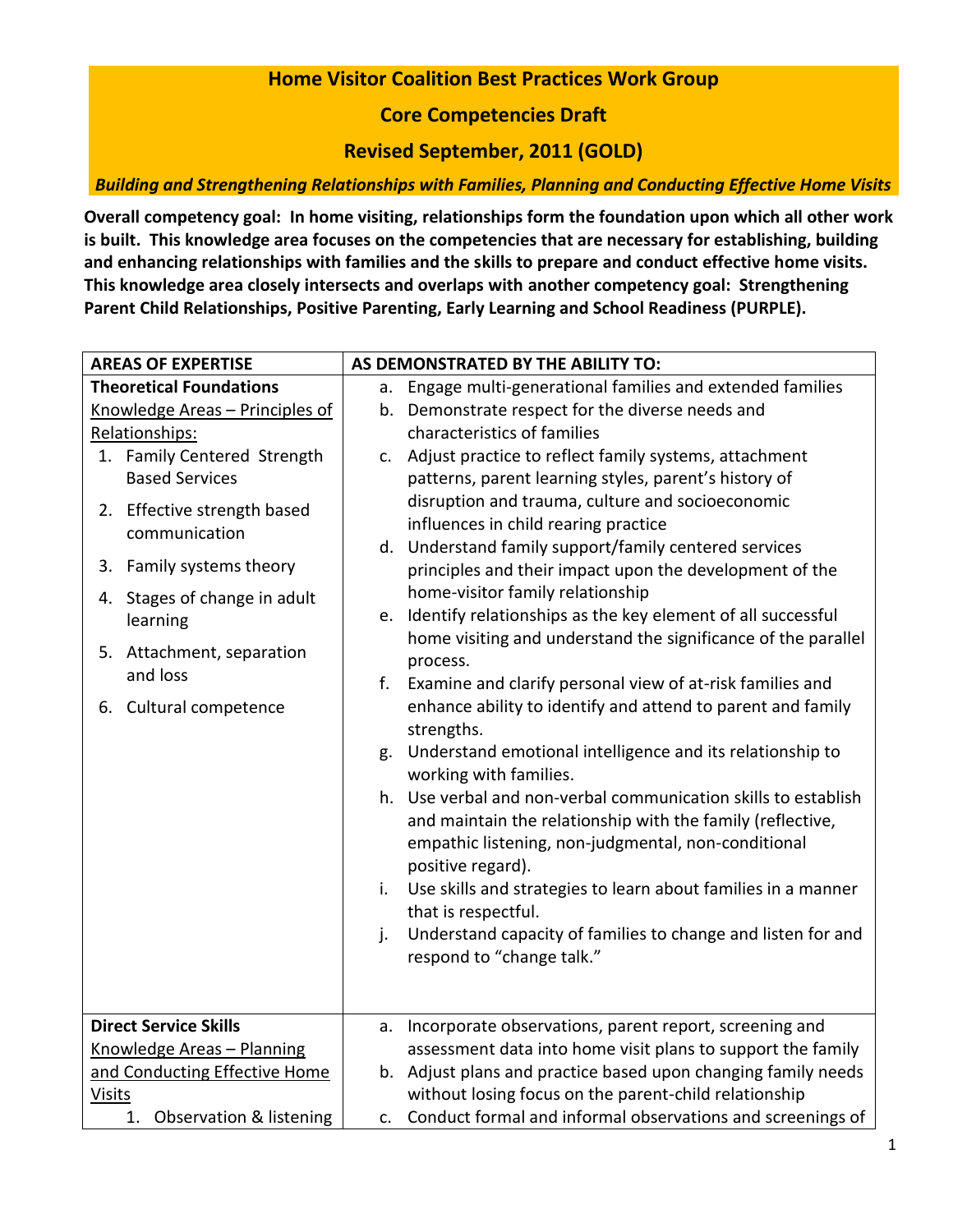## **Home Visitor Coalition Best Practices Work Group**

**Core Competencies Draft**

**Revised September, 2011 (GOLD)**

*Building and Strengthening Relationships with Families, Planning and Conducting Effective Home Visits*

**Overall competency goal: In home visiting, relationships form the foundation upon which all other work is built. This knowledge area focuses on the competencies that are necessary for establishing, building and enhancing relationships with families and the skills to prepare and conduct effective home visits. This knowledge area closely intersects and overlaps with another competency goal: Strengthening Parent Child Relationships, Positive Parenting, Early Learning and School Readiness (PURPLE).**

| <b>AREAS OF EXPERTISE</b>       |                                       |    | AS DEMONSTRATED BY THE ABILITY TO:                             |
|---------------------------------|---------------------------------------|----|----------------------------------------------------------------|
| <b>Theoretical Foundations</b>  |                                       | а. | Engage multi-generational families and extended families       |
| Knowledge Areas - Principles of |                                       |    | b. Demonstrate respect for the diverse needs and               |
| Relationships:                  |                                       |    | characteristics of families                                    |
|                                 | 1. Family Centered Strength           |    | c. Adjust practice to reflect family systems, attachment       |
|                                 | <b>Based Services</b>                 |    | patterns, parent learning styles, parent's history of          |
|                                 | 2. Effective strength based           |    | disruption and trauma, culture and socioeconomic               |
|                                 | communication                         |    | influences in child rearing practice                           |
|                                 |                                       |    | d. Understand family support/family centered services          |
| 3.                              | Family systems theory                 |    | principles and their impact upon the development of the        |
|                                 | 4. Stages of change in adult          |    | home-visitor family relationship                               |
|                                 | learning                              | e. | Identify relationships as the key element of all successful    |
|                                 |                                       |    | home visiting and understand the significance of the parallel  |
|                                 | 5. Attachment, separation<br>and loss |    | process.                                                       |
|                                 |                                       | f. | Examine and clarify personal view of at-risk families and      |
|                                 | 6. Cultural competence                |    | enhance ability to identify and attend to parent and family    |
|                                 |                                       |    | strengths.                                                     |
|                                 |                                       | g. | Understand emotional intelligence and its relationship to      |
|                                 |                                       |    | working with families.                                         |
|                                 |                                       |    | h. Use verbal and non-verbal communication skills to establish |
|                                 |                                       |    | and maintain the relationship with the family (reflective,     |
|                                 |                                       |    | empathic listening, non-judgmental, non-conditional            |
|                                 |                                       |    | positive regard).                                              |
|                                 |                                       | i. | Use skills and strategies to learn about families in a manner  |
|                                 |                                       |    | that is respectful.                                            |
|                                 |                                       | j. | Understand capacity of families to change and listen for and   |
|                                 |                                       |    | respond to "change talk."                                      |
|                                 |                                       |    |                                                                |
|                                 |                                       |    |                                                                |
| <b>Direct Service Skills</b>    |                                       |    | a. Incorporate observations, parent report, screening and      |
| Knowledge Areas - Planning      |                                       |    | assessment data into home visit plans to support the family    |
| and Conducting Effective Home   |                                       |    | b. Adjust plans and practice based upon changing family needs  |
| <b>Visits</b>                   |                                       |    | without losing focus on the parent-child relationship          |
| 1. Observation & listening      |                                       |    | c. Conduct formal and informal observations and screenings of  |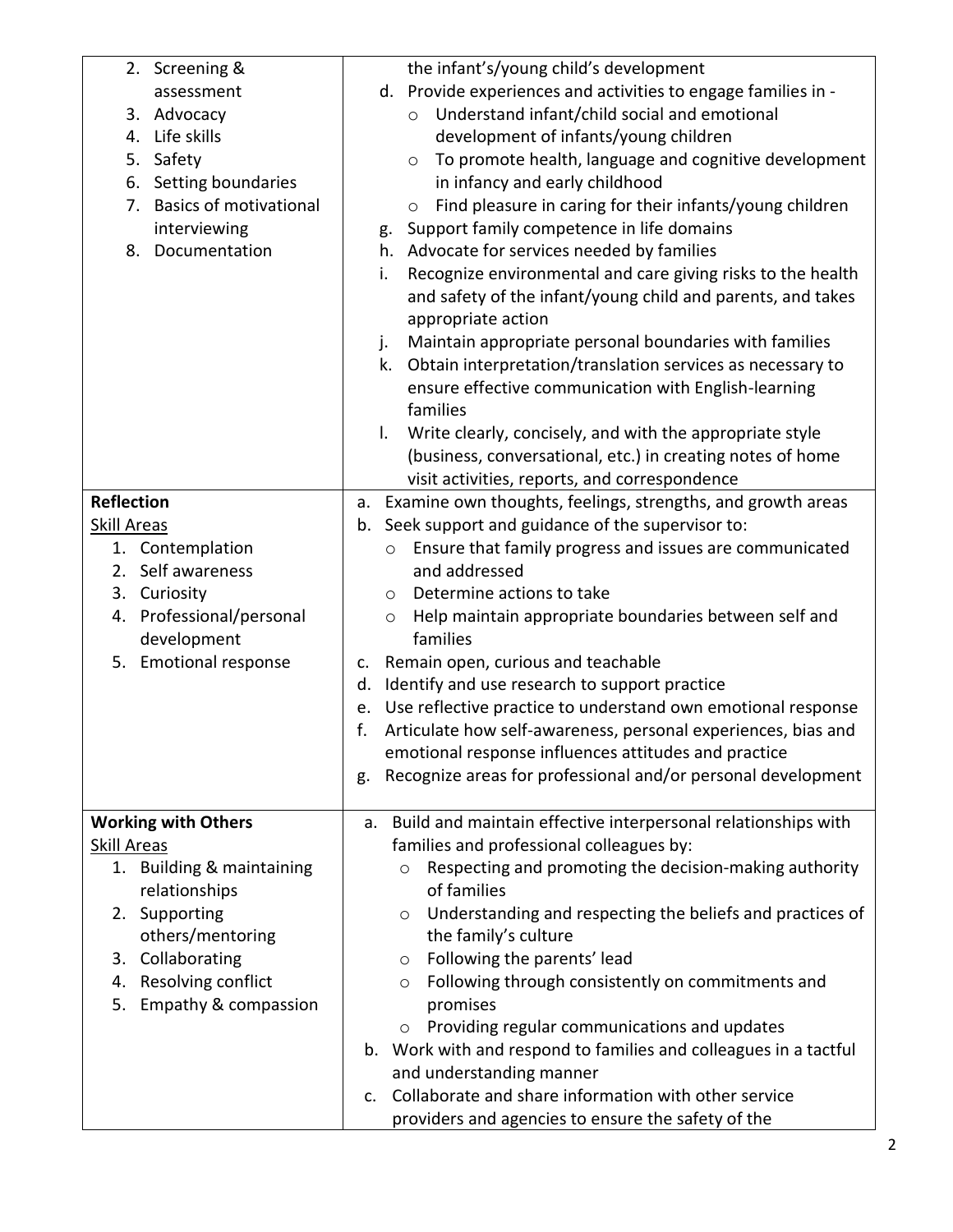| 2. Screening &                      | the infant's/young child's development                                 |
|-------------------------------------|------------------------------------------------------------------------|
| assessment                          | d. Provide experiences and activities to engage families in -          |
| 3. Advocacy                         | Understand infant/child social and emotional<br>$\circ$                |
| 4. Life skills                      | development of infants/young children                                  |
| Safety<br>5.                        | To promote health, language and cognitive development<br>$\circ$       |
| 6. Setting boundaries               | in infancy and early childhood                                         |
| <b>Basics of motivational</b><br>7. | Find pleasure in caring for their infants/young children<br>$\circ$    |
| interviewing                        | Support family competence in life domains<br>g.                        |
| 8. Documentation                    | h. Advocate for services needed by families                            |
|                                     | Recognize environmental and care giving risks to the health<br>i.      |
|                                     | and safety of the infant/young child and parents, and takes            |
|                                     | appropriate action                                                     |
|                                     | Maintain appropriate personal boundaries with families<br>j.           |
|                                     | Obtain interpretation/translation services as necessary to<br>k.       |
|                                     | ensure effective communication with English-learning                   |
|                                     | families                                                               |
|                                     | Write clearly, concisely, and with the appropriate style<br>I.         |
|                                     | (business, conversational, etc.) in creating notes of home             |
|                                     | visit activities, reports, and correspondence                          |
| <b>Reflection</b>                   | a. Examine own thoughts, feelings, strengths, and growth areas         |
| Skill Areas                         | Seek support and guidance of the supervisor to:<br>b.                  |
| 1. Contemplation                    | Ensure that family progress and issues are communicated<br>$\circ$     |
| 2. Self awareness                   | and addressed                                                          |
| 3. Curiosity                        | Determine actions to take<br>O                                         |
| 4. Professional/personal            | Help maintain appropriate boundaries between self and<br>O             |
| development                         | families                                                               |
| 5. Emotional response               | Remain open, curious and teachable<br>c.                               |
|                                     | Identify and use research to support practice<br>d.                    |
|                                     | Use reflective practice to understand own emotional response<br>e.     |
|                                     | Articulate how self-awareness, personal experiences, bias and<br>f.    |
|                                     | emotional response influences attitudes and practice                   |
|                                     | Recognize areas for professional and/or personal development<br>g.     |
|                                     |                                                                        |
| <b>Working with Others</b>          | Build and maintain effective interpersonal relationships with<br>a.    |
| <b>Skill Areas</b>                  | families and professional colleagues by:                               |
| 1. Building & maintaining           | Respecting and promoting the decision-making authority<br>$\circ$      |
| relationships                       | of families                                                            |
| 2. Supporting                       | Understanding and respecting the beliefs and practices of<br>O         |
| others/mentoring                    | the family's culture                                                   |
| 3. Collaborating                    | Following the parents' lead<br>O                                       |
| 4. Resolving conflict               | Following through consistently on commitments and<br>O                 |
| Empathy & compassion<br>5.          | promises                                                               |
|                                     | Providing regular communications and updates<br>$\circ$                |
|                                     | b. Work with and respond to families and colleagues in a tactful       |
|                                     | and understanding manner                                               |
|                                     | Collaborate and share information with other service<br>C <sub>1</sub> |
|                                     | providers and agencies to ensure the safety of the                     |